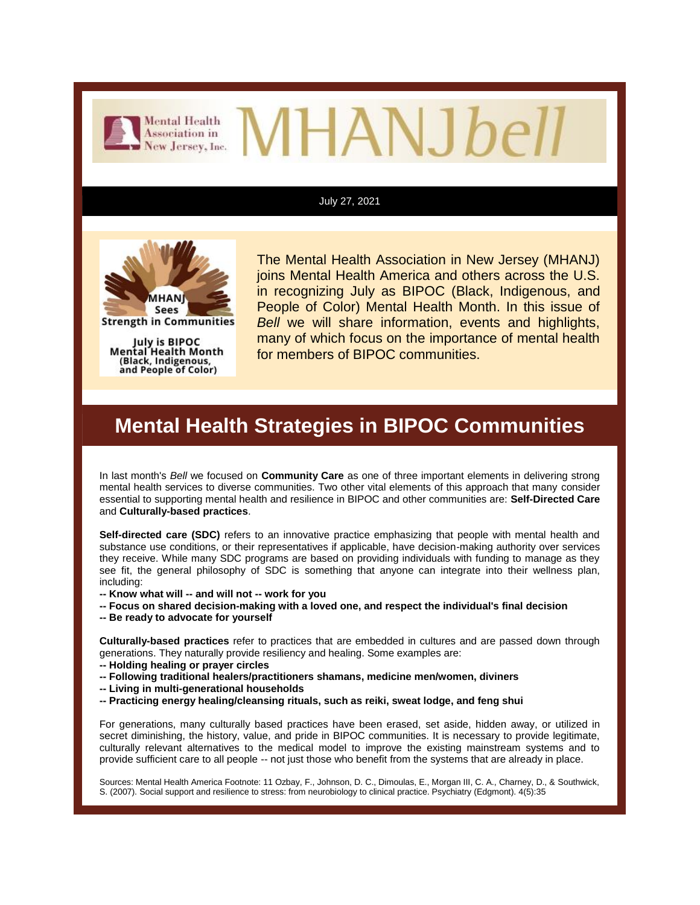

# HANJ*be*

#### July 27, 2021



**Strength in Communities** 

July is BIPOC Mental Health Month (Black, Indigenous, and People of Color)

The Mental Health Association in New Jersey (MHANJ) joins Mental Health America and others across the U.S. in recognizing July as BIPOC (Black, Indigenous, and People of Color) Mental Health Month. In this issue of *Bell* we will share information, events and highlights, many of which focus on the importance of mental health for members of BIPOC communities.

#### **Mental Health Strategies in BIPOC Communities**

In last month's *Bell* we focused on **Community Care** as one of three important elements in delivering strong mental health services to diverse communities. Two other vital elements of this approach that many consider essential to supporting mental health and resilience in BIPOC and other communities are: **Self-Directed Care** and **Culturally-based practices**.

**Self-directed care (SDC)** refers to an innovative practice emphasizing that people with mental health and substance use conditions, or their representatives if applicable, have decision-making authority over services they receive. While many SDC programs are based on providing individuals with funding to manage as they see fit, the general philosophy of SDC is something that anyone can integrate into their wellness plan, including:

- **-- Know what will -- and will not -- work for you**
- **-- Focus on shared decision-making with a loved one, and respect the individual's final decision**
- **-- Be ready to advocate for yourself**

**Culturally-based practices** refer to practices that are embedded in cultures and are passed down through generations. They naturally provide resiliency and healing. Some examples are:

- **-- Holding healing or prayer circles**
- **-- Following traditional healers/practitioners shamans, medicine men/women, diviners**
- **-- Living in multi-generational households**
- **-- Practicing energy healing/cleansing rituals, such as reiki, sweat lodge, and feng shui**

For generations, many culturally based practices have been erased, set aside, hidden away, or utilized in secret diminishing, the history, value, and pride in BIPOC communities. It is necessary to provide legitimate, culturally relevant alternatives to the medical model to improve the existing mainstream systems and to provide sufficient care to all people -- not just those who benefit from the systems that are already in place.

Sources: Mental Health America Footnote: 11 Ozbay, F., Johnson, D. C., Dimoulas, E., Morgan III, C. A., Charney, D., & Southwick, S. (2007). Social support and resilience to stress: from neurobiology to clinical practice. Psychiatry (Edgmont). 4(5):35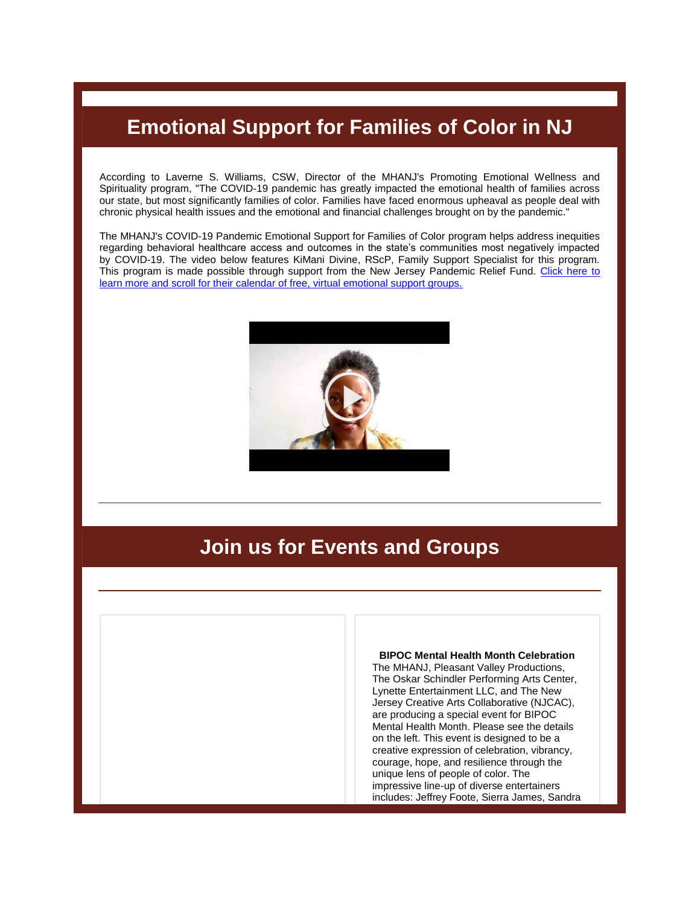### **Emotional Support for Families of Color in NJ**

According to Laverne S. Williams, CSW, Director of the MHANJ's Promoting Emotional Wellness and Spirituality program, "The COVID-19 pandemic has greatly impacted the emotional health of families across our state, but most significantly families of color. Families have faced enormous upheaval as people deal with chronic physical health issues and the emotional and financial challenges brought on by the pandemic."

The MHANJ's COVID-19 Pandemic Emotional Support for Families of Color program helps address inequities regarding behavioral healthcare access and outcomes in the state's communities most negatively impacted by COVID-19. The video below features KiMani Divine, RScP, Family Support Specialist for this program. This program is made possible through support from the New Jersey Pandemic Relief Fund. Click here to [learn more and scroll for their calendar of free, virtual emotional support groups.](https://r20.rs6.net/tn.jsp?f=001Kfw-lymgmMWhvd_bFClUwXiJNIaQ7vLpD7itBNCf0VKivbXgJwHCGYXOAVB-pcTDjNufDjl95bYBz3hLF3MaqOfRTc_KPdM2dRYmHlzMP37PvJKsxxgdjllYR4-IQxAM0j-i9u2bNytPj3nwxOJ8PXhzd4Qfl80p&c=jn7r7uYq1yIdN5Nr5O1HsQzEWpBC4LOT963IdobnPiU3Dhqy79KMMg==&ch=m4SmPclir0kAZC4qY2KBhyAMQrQ8ZRm560naxcCX8g_eBClY01bIrA==)



#### **Join us for Events and Groups**



The MHANJ, Pleasant Valley Productions, The Oskar Schindler Performing Arts Center, Lynette Entertainment LLC, and The New Jersey Creative Arts Collaborative (NJCAC), are producing a special event for BIPOC Mental Health Month. Please see the details on the left. This event is designed to be a creative expression of celebration, vibrancy, courage, hope, and resilience through the unique lens of people of color. The impressive line-up of diverse entertainers includes: Jeffrey Foote, Sierra James, Sandra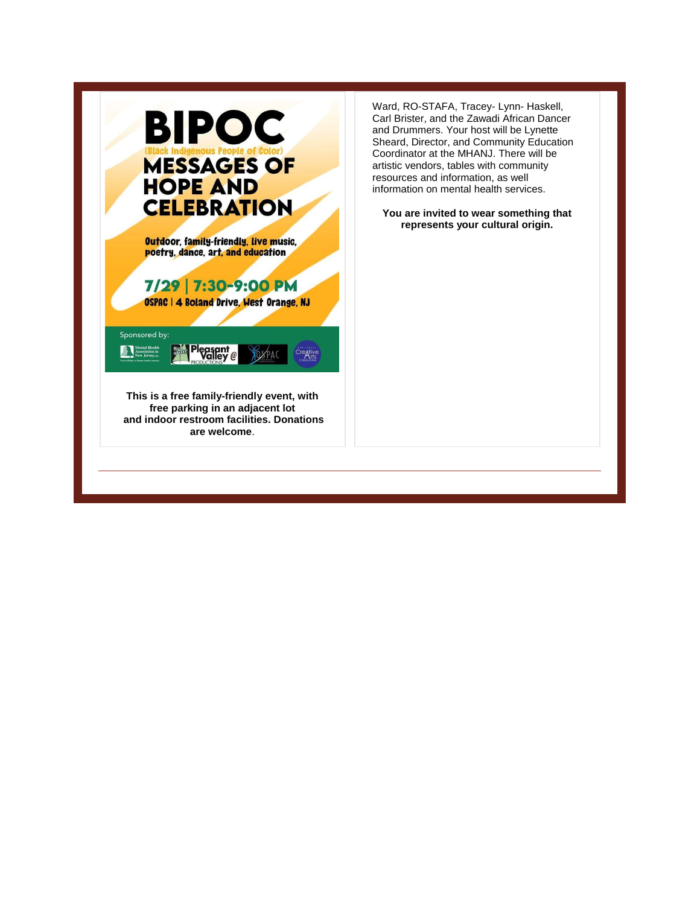

Ward, RO-STAFA, Tracey- Lynn- Haskell, Carl Brister, and the Zawadi African Dancer and Drummers. Your host will be Lynette Sheard, Director, and Community Education Coordinator at the MHANJ. There will be artistic vendors, tables with community resources and information, as well information on mental health services.

**You are invited to wear something that represents your cultural origin.**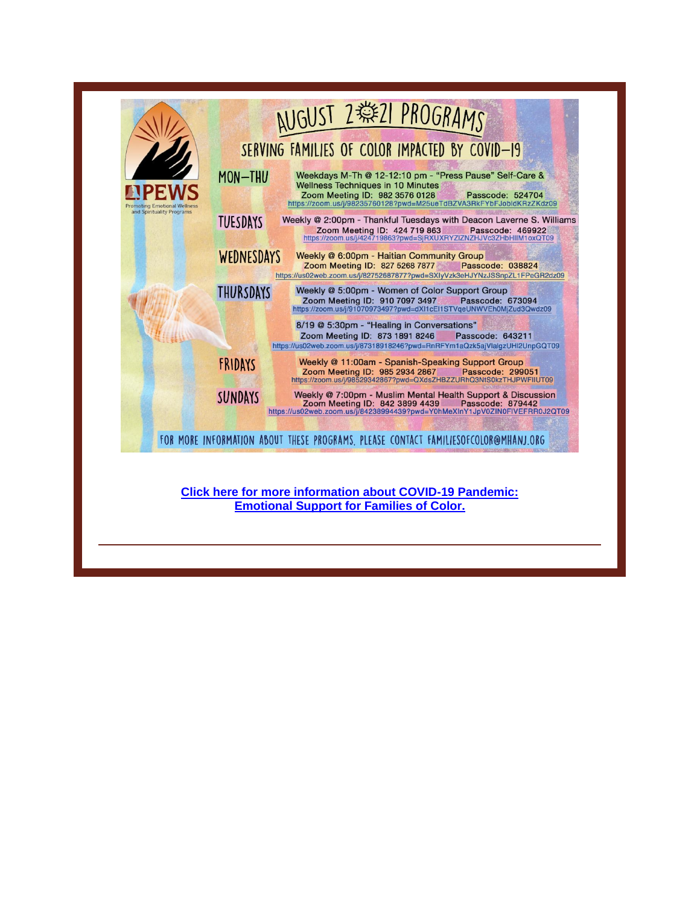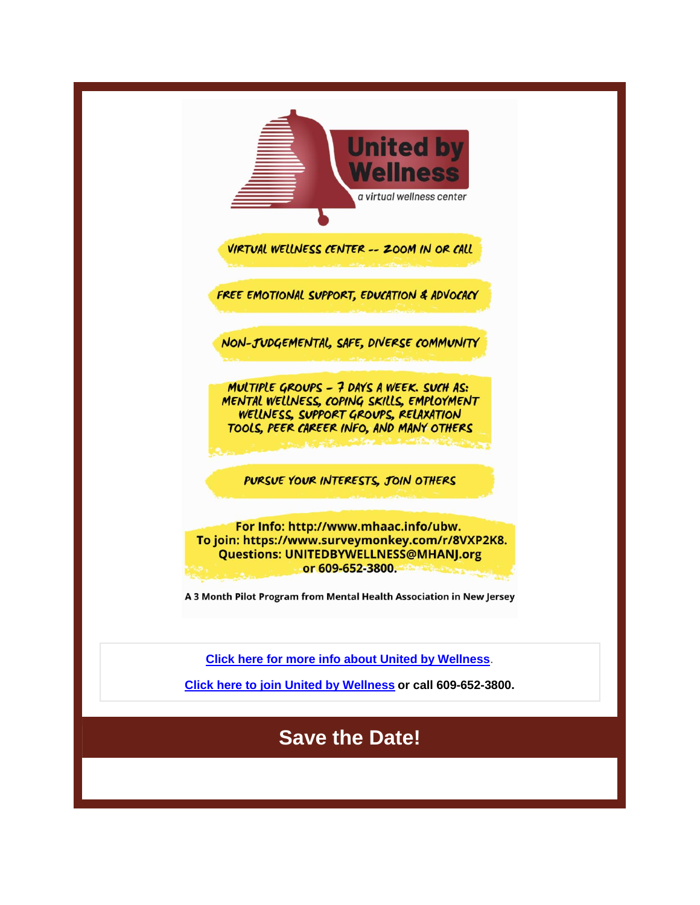| <b>United by</b><br><b>Wellness</b><br>a virtual wellness center                                                                                                                                                                     |
|--------------------------------------------------------------------------------------------------------------------------------------------------------------------------------------------------------------------------------------|
| VIRTUAL WELLNESS CENTER -- ZOOM IN OR CALL                                                                                                                                                                                           |
| FREE EMOTIONAL SUPPORT, EDUCATION & ADVOCACY                                                                                                                                                                                         |
| NON-JUDGEMENTAL, SAFE, DIVERSE COMMUNITY                                                                                                                                                                                             |
| MULTIPLE GROUPS - 7 DAYS A WEEK. SUCH AS:<br>MENTAL WELLNESS, COPING SKILLS, EMPLOYMENT<br>WELLNESS, SUPPORT GROUPS, RELAXATION<br>TOOLS, PEER CAREER INFO, AND MANY OTHERS                                                          |
| PURSUE YOUR INTERESTS, JOIN OTHERS                                                                                                                                                                                                   |
| For Info: http://www.mhaac.info/ubw.<br>To join: https://www.surveymonkey.com/r/8VXP2K8.<br><b>Questions: UNITEDBYWELLNESS@MHANJ.org</b><br>or 609-652-3800.<br>A 3 Month Pilot Program from Mental Health Association in New Jersey |
| <b>Click here for more info about United by Wellness.</b>                                                                                                                                                                            |
| Click here to join United by Wellness or call 609-652-3800.                                                                                                                                                                          |
| <b>Save the Date!</b>                                                                                                                                                                                                                |
|                                                                                                                                                                                                                                      |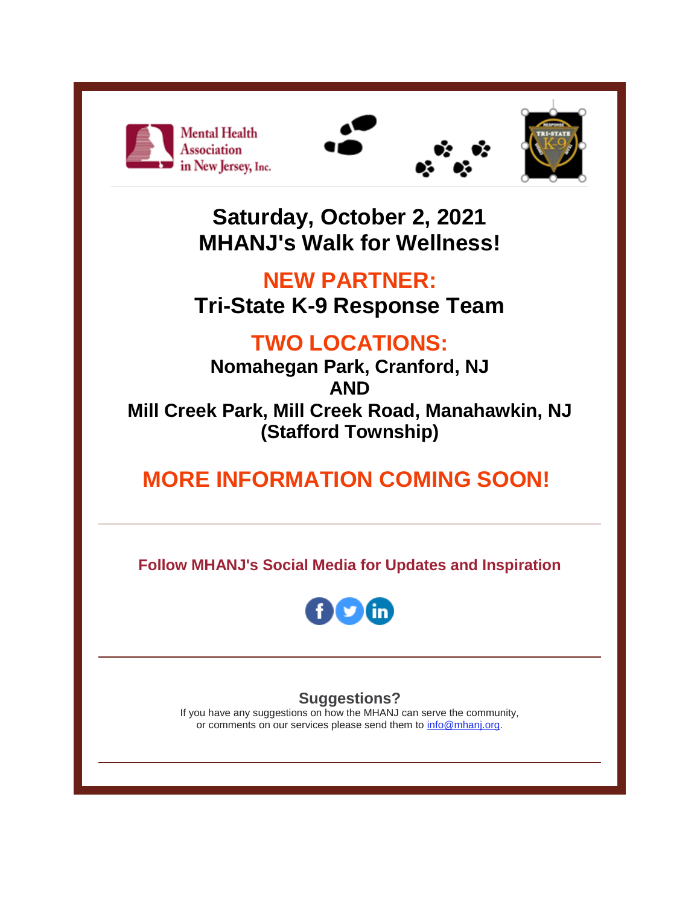





**Saturday, October 2, 2021 MHANJ's Walk for Wellness!**

## **NEW PARTNER: Tri-State K-9 Response Team**

# **TWO LOCATIONS:**

**Nomahegan Park, Cranford, NJ AND Mill Creek Park, Mill Creek Road, Manahawkin, NJ (Stafford Township)**

# **MORE INFORMATION COMING SOON!**

**Follow MHANJ's Social Media for Updates and Inspiration**



#### **Suggestions?**

If you have any suggestions on how the MHANJ can serve the community, or comments on our services please send them to [info@mhanj.org.](mailto:info@mhanj.org)